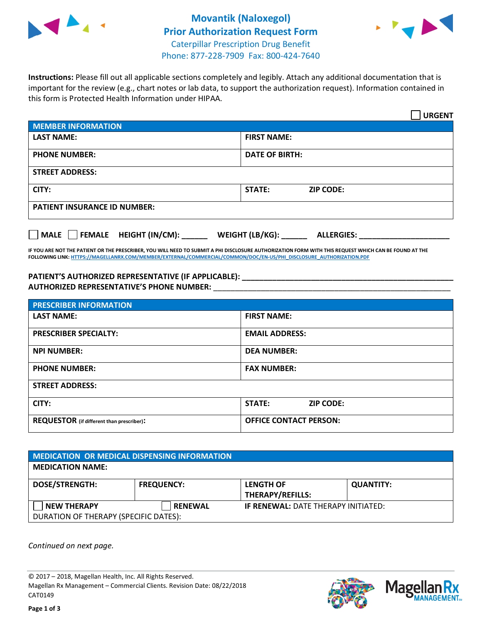



**Instructions:** Please fill out all applicable sections completely and legibly. Attach any additional documentation that is important for the review (e.g., chart notes or lab data, to support the authorization request). Information contained in this form is Protected Health Information under HIPAA.

|                                       | <b>URGENT</b>                        |  |  |  |
|---------------------------------------|--------------------------------------|--|--|--|
| <b>MEMBER INFORMATION</b>             |                                      |  |  |  |
| <b>LAST NAME:</b>                     | <b>FIRST NAME:</b>                   |  |  |  |
| <b>PHONE NUMBER:</b>                  | <b>DATE OF BIRTH:</b>                |  |  |  |
| <b>STREET ADDRESS:</b>                |                                      |  |  |  |
| CITY:                                 | <b>ZIP CODE:</b><br>STATE:           |  |  |  |
| <b>PATIENT INSURANCE ID NUMBER:</b>   |                                      |  |  |  |
| FEMALE HEIGHT (IN/CM):<br><b>MALE</b> | WEIGHT (LB/KG):<br><b>ALLERGIES:</b> |  |  |  |

**IF YOU ARE NOT THE PATIENT OR THE PRESCRIBER, YOU WILL NEED TO SUBMIT A PHI DISCLOSURE AUTHORIZATION FORM WITH THIS REQUEST WHICH CAN BE FOUND AT THE FOLLOWING LINK[: HTTPS://MAGELLANRX.COM/MEMBER/EXTERNAL/COMMERCIAL/COMMON/DOC/EN-US/PHI\\_DISCLOSURE\\_AUTHORIZATION.PDF](https://magellanrx.com/member/external/commercial/common/doc/en-us/PHI_Disclosure_Authorization.pdf)**

**PATIENT'S AUTHORIZED REPRESENTATIVE (IF APPLICABLE): \_\_\_\_\_\_\_\_\_\_\_\_\_\_\_\_\_\_\_\_\_\_\_\_\_\_\_\_\_\_\_\_\_\_\_\_\_\_\_\_\_\_\_\_\_\_\_\_\_ AUTHORIZED REPRESENTATIVE'S PHONE NUMBER:** \_\_\_\_\_\_\_\_\_\_\_\_\_\_\_\_\_\_\_\_\_\_\_\_\_\_\_\_\_\_\_\_\_\_\_\_\_\_\_\_\_\_\_\_\_\_\_\_\_\_\_\_\_\_\_

| <b>PRESCRIBER INFORMATION</b>             |                                   |  |  |
|-------------------------------------------|-----------------------------------|--|--|
| <b>LAST NAME:</b>                         | <b>FIRST NAME:</b>                |  |  |
| <b>PRESCRIBER SPECIALTY:</b>              | <b>EMAIL ADDRESS:</b>             |  |  |
| <b>NPI NUMBER:</b>                        | <b>DEA NUMBER:</b>                |  |  |
| <b>PHONE NUMBER:</b>                      | <b>FAX NUMBER:</b>                |  |  |
| <b>STREET ADDRESS:</b>                    |                                   |  |  |
| CITY:                                     | <b>STATE:</b><br><b>ZIP CODE:</b> |  |  |
| REQUESTOR (if different than prescriber): | <b>OFFICE CONTACT PERSON:</b>     |  |  |

| <b>MEDICATION OR MEDICAL DISPENSING INFORMATION</b>         |                   |                                             |                  |  |  |
|-------------------------------------------------------------|-------------------|---------------------------------------------|------------------|--|--|
| <b>MEDICATION NAME:</b>                                     |                   |                                             |                  |  |  |
| <b>DOSE/STRENGTH:</b>                                       | <b>FREQUENCY:</b> | <b>LENGTH OF</b><br><b>THERAPY/REFILLS:</b> | <b>QUANTITY:</b> |  |  |
| <b>NEW THERAPY</b><br>DURATION OF THERAPY (SPECIFIC DATES): | <b>RENEWAL</b>    | <b>IF RENEWAL: DATE THERAPY INITIATED:</b>  |                  |  |  |

*Continued on next page.*

© 2017 – 2018, Magellan Health, Inc. All Rights Reserved. Magellan Rx Management – Commercial Clients. Revision Date: 08/22/2018 CAT0149



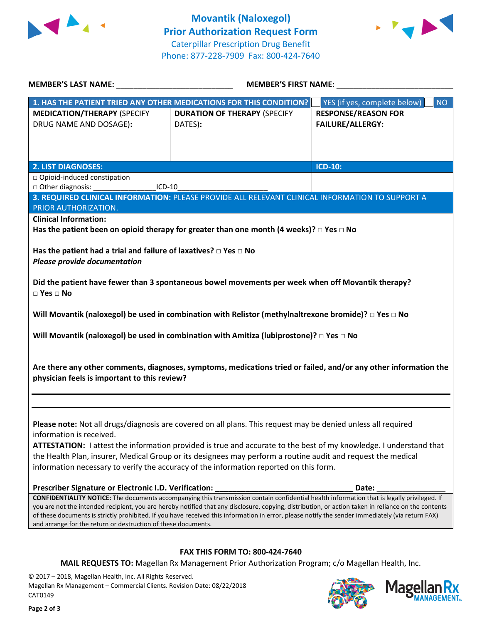



| <b>MEMBER'S LAST NAME:</b>                                                                                                                                                                                        | <b>MEMBER'S FIRST NAME:</b>                                                                                                                 |                                    |  |  |
|-------------------------------------------------------------------------------------------------------------------------------------------------------------------------------------------------------------------|---------------------------------------------------------------------------------------------------------------------------------------------|------------------------------------|--|--|
|                                                                                                                                                                                                                   | 1. HAS THE PATIENT TRIED ANY OTHER MEDICATIONS FOR THIS CONDITION?                                                                          | YES (if yes, complete below)<br>NO |  |  |
| <b>MEDICATION/THERAPY (SPECIFY</b>                                                                                                                                                                                | <b>DURATION OF THERAPY (SPECIFY</b>                                                                                                         | <b>RESPONSE/REASON FOR</b>         |  |  |
| DRUG NAME AND DOSAGE):                                                                                                                                                                                            | DATES):                                                                                                                                     | <b>FAILURE/ALLERGY:</b>            |  |  |
|                                                                                                                                                                                                                   |                                                                                                                                             |                                    |  |  |
|                                                                                                                                                                                                                   |                                                                                                                                             |                                    |  |  |
| <b>2. LIST DIAGNOSES:</b>                                                                                                                                                                                         |                                                                                                                                             | <b>ICD-10:</b>                     |  |  |
| □ Opioid-induced constipation                                                                                                                                                                                     |                                                                                                                                             |                                    |  |  |
| □ Other diagnosis:<br>$ICD-10$                                                                                                                                                                                    |                                                                                                                                             |                                    |  |  |
|                                                                                                                                                                                                                   | 3. REQUIRED CLINICAL INFORMATION: PLEASE PROVIDE ALL RELEVANT CLINICAL INFORMATION TO SUPPORT A                                             |                                    |  |  |
| PRIOR AUTHORIZATION.                                                                                                                                                                                              |                                                                                                                                             |                                    |  |  |
| <b>Clinical Information:</b>                                                                                                                                                                                      |                                                                                                                                             |                                    |  |  |
|                                                                                                                                                                                                                   | Has the patient been on opioid therapy for greater than one month (4 weeks)? $\Box$ Yes $\Box$ No                                           |                                    |  |  |
|                                                                                                                                                                                                                   |                                                                                                                                             |                                    |  |  |
| Has the patient had a trial and failure of laxatives? $\Box$ Yes $\Box$ No                                                                                                                                        |                                                                                                                                             |                                    |  |  |
| <b>Please provide documentation</b>                                                                                                                                                                               |                                                                                                                                             |                                    |  |  |
|                                                                                                                                                                                                                   | Did the patient have fewer than 3 spontaneous bowel movements per week when off Movantik therapy?                                           |                                    |  |  |
| $\Box$ Yes $\Box$ No                                                                                                                                                                                              |                                                                                                                                             |                                    |  |  |
|                                                                                                                                                                                                                   | Will Movantik (naloxegol) be used in combination with Relistor (methylnaltrexone bromide)? $\square$ Yes $\square$ No                       |                                    |  |  |
|                                                                                                                                                                                                                   |                                                                                                                                             |                                    |  |  |
| Will Movantik (naloxegol) be used in combination with Amitiza (lubiprostone)? $\Box$ Yes $\Box$ No                                                                                                                |                                                                                                                                             |                                    |  |  |
|                                                                                                                                                                                                                   |                                                                                                                                             |                                    |  |  |
|                                                                                                                                                                                                                   | Are there any other comments, diagnoses, symptoms, medications tried or failed, and/or any other information the                            |                                    |  |  |
| physician feels is important to this review?                                                                                                                                                                      |                                                                                                                                             |                                    |  |  |
|                                                                                                                                                                                                                   |                                                                                                                                             |                                    |  |  |
|                                                                                                                                                                                                                   |                                                                                                                                             |                                    |  |  |
|                                                                                                                                                                                                                   |                                                                                                                                             |                                    |  |  |
| Please note: Not all drugs/diagnosis are covered on all plans. This request may be denied unless all required                                                                                                     |                                                                                                                                             |                                    |  |  |
| information is received.                                                                                                                                                                                          |                                                                                                                                             |                                    |  |  |
| ATTESTATION: I attest the information provided is true and accurate to the best of my knowledge. I understand that                                                                                                |                                                                                                                                             |                                    |  |  |
| the Health Plan, insurer, Medical Group or its designees may perform a routine audit and request the medical                                                                                                      |                                                                                                                                             |                                    |  |  |
| information necessary to verify the accuracy of the information reported on this form.                                                                                                                            |                                                                                                                                             |                                    |  |  |
| Prescriber Signature or Electronic I.D. Verification:                                                                                                                                                             |                                                                                                                                             | Date:                              |  |  |
|                                                                                                                                                                                                                   | CONFIDENTIALITY NOTICE: The documents accompanying this transmission contain confidential health information that is legally privileged. If |                                    |  |  |
| you are not the intended recipient, you are hereby notified that any disclosure, copying, distribution, or action taken in reliance on the contents                                                               |                                                                                                                                             |                                    |  |  |
| of these documents is strictly prohibited. If you have received this information in error, please notify the sender immediately (via return FAX)<br>and arrange for the return or destruction of these documents. |                                                                                                                                             |                                    |  |  |
|                                                                                                                                                                                                                   |                                                                                                                                             |                                    |  |  |
|                                                                                                                                                                                                                   |                                                                                                                                             |                                    |  |  |
|                                                                                                                                                                                                                   | <b>FAX THIS FORM TO: 800-424-7640</b>                                                                                                       |                                    |  |  |

**MAIL REQUESTS TO:** Magellan Rx Management Prior Authorization Program; c/o Magellan Health, Inc.

© 2017 – 2018, Magellan Health, Inc. All Rights Reserved. Magellan Rx Management – Commercial Clients. Revision Date: 08/22/2018 CAT0149



**IANAGEMENT**